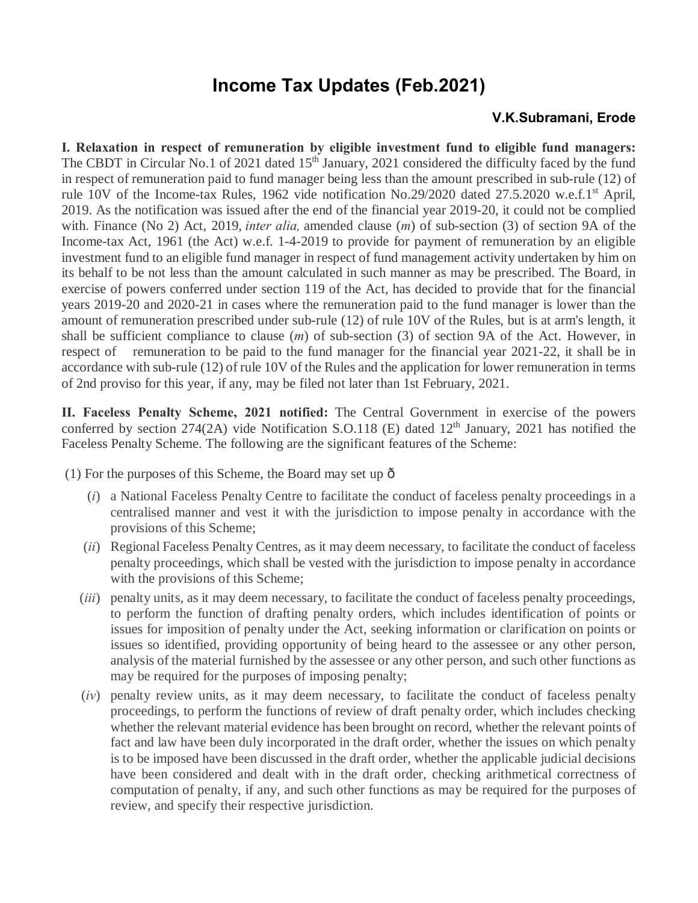## **Income Tax Updates (Feb.2021)**

## **V.K.Subramani, Erode**

**I. Relaxation in respect of remuneration by eligible investment fund to eligible fund managers:**  The CBDT in Circular No.1 of 2021 dated 15<sup>th</sup> January, 2021 considered the difficulty faced by the fund in respect of remuneration paid to fund manager being less than the amount prescribed in sub-rule (12) of rule 10V of the Income-tax Rules, 1962 vide notification No.29/2020 dated 27.5.2020 w.e.f.1<sup>st</sup> April, 2019. As the notification was issued after the end of the financial year 2019-20, it could not be complied with. Finance (No 2) Act, 2019, *inter alia,* amended clause (*m*) of sub-section (3) of section 9A of the Income-tax Act, 1961 (the Act) w.e.f. 1-4-2019 to provide for payment of remuneration by an eligible investment fund to an eligible fund manager in respect of fund management activity undertaken by him on its behalf to be not less than the amount calculated in such manner as may be prescribed. The Board, in exercise of powers conferred under section 119 of the Act, has decided to provide that for the financial years 2019-20 and 2020-21 in cases where the remuneration paid to the fund manager is lower than the amount of remuneration prescribed under sub-rule (12) of rule 10V of the Rules, but is at arm's length, it shall be sufficient compliance to clause (*m*) of sub-section (3) of section 9A of the Act. However, in respect of remuneration to be paid to the fund manager for the financial year 2021-22, it shall be in accordance with sub-rule (12) of rule 10V of the Rules and the application for lower remuneration in terms of 2nd proviso for this year, if any, may be filed not later than 1st February, 2021.

**II. Faceless Penalty Scheme, 2021 notified:** The Central Government in exercise of the powers conferred by section  $274(2A)$  vide Notification S.O.118 (E) dated  $12<sup>th</sup>$  January, 2021 has notified the Faceless Penalty Scheme. The following are the significant features of the Scheme:

(1) For the purposes of this Scheme, the Board may set up  $\hat{o}$ 

- (*i*) a National Faceless Penalty Centre to facilitate the conduct of faceless penalty proceedings in a centralised manner and vest it with the jurisdiction to impose penalty in accordance with the provisions of this Scheme;
- (*ii*) Regional Faceless Penalty Centres, as it may deem necessary, to facilitate the conduct of faceless penalty proceedings, which shall be vested with the jurisdiction to impose penalty in accordance with the provisions of this Scheme;
- (*iii*) penalty units, as it may deem necessary, to facilitate the conduct of faceless penalty proceedings, to perform the function of drafting penalty orders, which includes identification of points or issues for imposition of penalty under the Act, seeking information or clarification on points or issues so identified, providing opportunity of being heard to the assessee or any other person, analysis of the material furnished by the assessee or any other person, and such other functions as may be required for the purposes of imposing penalty;
- (*iv*) penalty review units, as it may deem necessary, to facilitate the conduct of faceless penalty proceedings, to perform the functions of review of draft penalty order, which includes checking whether the relevant material evidence has been brought on record, whether the relevant points of fact and law have been duly incorporated in the draft order, whether the issues on which penalty is to be imposed have been discussed in the draft order, whether the applicable judicial decisions have been considered and dealt with in the draft order, checking arithmetical correctness of computation of penalty, if any, and such other functions as may be required for the purposes of review, and specify their respective jurisdiction.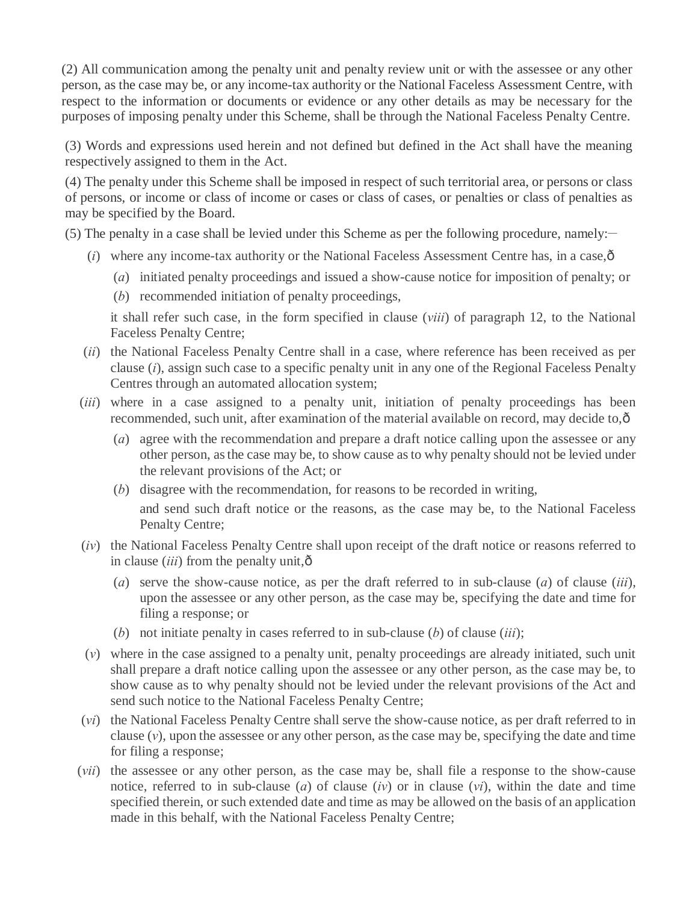(2) All communication among the penalty unit and penalty review unit or with the assessee or any other person, as the case may be, or any income-tax authority or the National Faceless Assessment Centre, with respect to the information or documents or evidence or any other details as may be necessary for the purposes of imposing penalty under this Scheme, shall be through the National Faceless Penalty Centre.

(3) Words and expressions used herein and not defined but defined in the Act shall have the meaning respectively assigned to them in the Act.

(4) The penalty under this Scheme shall be imposed in respect of such territorial area, or persons or class of persons, or income or class of income or cases or class of cases, or penalties or class of penalties as may be specified by the Board.

 $(5)$  The penalty in a case shall be levied under this Scheme as per the following procedure, namely:

- $(i)$  where any income-tax authority or the National Faceless Assessment Centre has, in a case, $\hat{\sigma}$ 
	- (*a*) initiated penalty proceedings and issued a show-cause notice for imposition of penalty; or
	- (*b*) recommended initiation of penalty proceedings,

it shall refer such case, in the form specified in clause (*viii*) of paragraph 12, to the National Faceless Penalty Centre;

- (*ii*) the National Faceless Penalty Centre shall in a case, where reference has been received as per clause (*i*), assign such case to a specific penalty unit in any one of the Regional Faceless Penalty Centres through an automated allocation system;
- (*iii*) where in a case assigned to a penalty unit, initiation of penalty proceedings has been recommended, such unit, after examination of the material available on record, may decide to, $\hat{\sigma}$ 
	- (*a*) agree with the recommendation and prepare a draft notice calling upon the assessee or any other person, as the case may be, to show cause as to why penalty should not be levied under the relevant provisions of the Act; or
	- (*b*) disagree with the recommendation, for reasons to be recorded in writing, and send such draft notice or the reasons, as the case may be, to the National Faceless Penalty Centre;
- (*iv*) the National Faceless Penalty Centre shall upon receipt of the draft notice or reasons referred to in clause  $(iii)$  from the penalty unit, $\hat{o}$ 
	- (*a*) serve the show-cause notice, as per the draft referred to in sub-clause (*a*) of clause (*iii*), upon the assessee or any other person, as the case may be, specifying the date and time for filing a response; or
	- (*b*) not initiate penalty in cases referred to in sub-clause (*b*) of clause (*iii*);
- (*v*) where in the case assigned to a penalty unit, penalty proceedings are already initiated, such unit shall prepare a draft notice calling upon the assessee or any other person, as the case may be, to show cause as to why penalty should not be levied under the relevant provisions of the Act and send such notice to the National Faceless Penalty Centre;
- (*vi*) the National Faceless Penalty Centre shall serve the show-cause notice, as per draft referred to in clause  $(v)$ , upon the assessee or any other person, as the case may be, specifying the date and time for filing a response;
- (*vii*) the assessee or any other person, as the case may be, shall file a response to the show-cause notice, referred to in sub-clause (*a*) of clause (*iv*) or in clause (*vi*), within the date and time specified therein, or such extended date and time as may be allowed on the basis of an application made in this behalf, with the National Faceless Penalty Centre;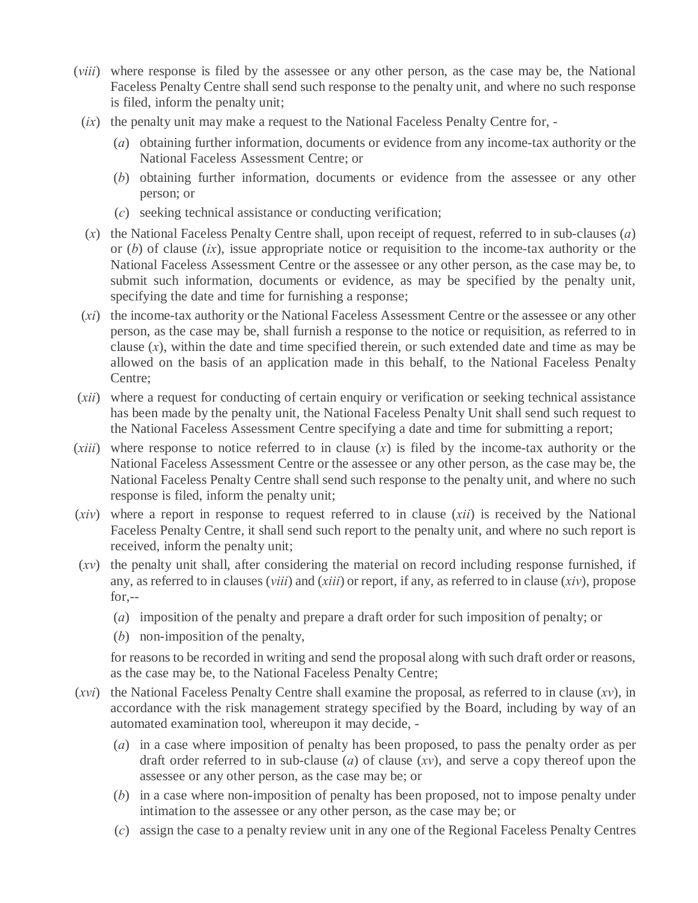- (*viii*) where response is filed by the assessee or any other person, as the case may be, the National Faceless Penalty Centre shall send such response to the penalty unit, and where no such response is filed, inform the penalty unit;
- (*ix*) the penalty unit may make a request to the National Faceless Penalty Centre for,
	- (*a*) obtaining further information, documents or evidence from any income-tax authority or the National Faceless Assessment Centre; or
	- (*b*) obtaining further information, documents or evidence from the assessee or any other person; or
	- (*c*) seeking technical assistance or conducting verification;
- (*x*) the National Faceless Penalty Centre shall, upon receipt of request, referred to in sub-clauses (*a*) or (*b*) of clause (*ix*), issue appropriate notice or requisition to the income-tax authority or the National Faceless Assessment Centre or the assessee or any other person, as the case may be, to submit such information, documents or evidence, as may be specified by the penalty unit, specifying the date and time for furnishing a response;
- (*xi*) the income-tax authority or the National Faceless Assessment Centre or the assessee or any other person, as the case may be, shall furnish a response to the notice or requisition, as referred to in clause (*x*), within the date and time specified therein, or such extended date and time as may be allowed on the basis of an application made in this behalf, to the National Faceless Penalty Centre;
- (*xii*) where a request for conducting of certain enquiry or verification or seeking technical assistance has been made by the penalty unit, the National Faceless Penalty Unit shall send such request to the National Faceless Assessment Centre specifying a date and time for submitting a report;
- (*xiii*) where response to notice referred to in clause (*x*) is filed by the income-tax authority or the National Faceless Assessment Centre or the assessee or any other person, as the case may be, the National Faceless Penalty Centre shall send such response to the penalty unit, and where no such response is filed, inform the penalty unit;
- (*xiv*) where a report in response to request referred to in clause (*xii*) is received by the National Faceless Penalty Centre, it shall send such report to the penalty unit, and where no such report is received, inform the penalty unit;
- (*xv*) the penalty unit shall, after considering the material on record including response furnished, if any, as referred to in clauses (*viii*) and (*xiii*) or report, if any, as referred to in clause (*xiv*), propose for,--
	- (*a*) imposition of the penalty and prepare a draft order for such imposition of penalty; or
	- (*b*) non-imposition of the penalty,

for reasons to be recorded in writing and send the proposal along with such draft order or reasons, as the case may be, to the National Faceless Penalty Centre;

- (*xvi*) the National Faceless Penalty Centre shall examine the proposal, as referred to in clause (*xv*), in accordance with the risk management strategy specified by the Board, including by way of an automated examination tool, whereupon it may decide, -
	- (*a*) in a case where imposition of penalty has been proposed, to pass the penalty order as per draft order referred to in sub-clause (*a*) of clause (*xv*), and serve a copy thereof upon the assessee or any other person, as the case may be; or
	- (*b*) in a case where non-imposition of penalty has been proposed, not to impose penalty under intimation to the assessee or any other person, as the case may be; or
	- (*c*) assign the case to a penalty review unit in any one of the Regional Faceless Penalty Centres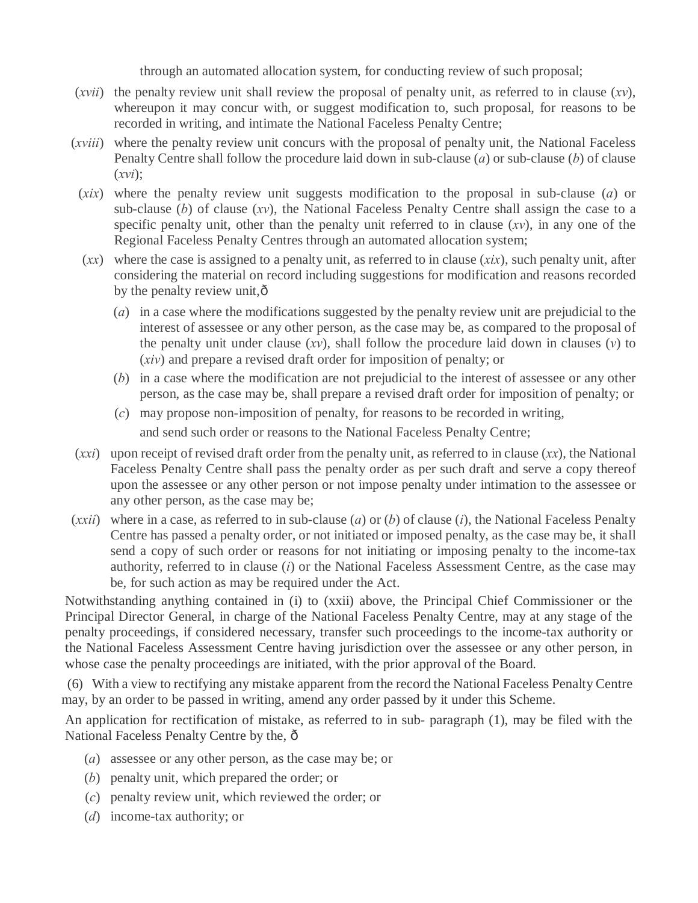through an automated allocation system, for conducting review of such proposal;

- (*xvii*) the penalty review unit shall review the proposal of penalty unit, as referred to in clause  $(xv)$ , whereupon it may concur with, or suggest modification to, such proposal, for reasons to be recorded in writing, and intimate the National Faceless Penalty Centre;
- (*xviii*) where the penalty review unit concurs with the proposal of penalty unit, the National Faceless Penalty Centre shall follow the procedure laid down in sub-clause (*a*) or sub-clause (*b*) of clause (*xvi*);
- (*xix*) where the penalty review unit suggests modification to the proposal in sub-clause (*a*) or sub-clause (*b*) of clause (*xv*), the National Faceless Penalty Centre shall assign the case to a specific penalty unit, other than the penalty unit referred to in clause (*xv*), in any one of the Regional Faceless Penalty Centres through an automated allocation system;
- (*xx*) where the case is assigned to a penalty unit, as referred to in clause (*xix*), such penalty unit, after considering the material on record including suggestions for modification and reasons recorded by the penalty review unit, $\hat{o}$ 
	- (*a*) in a case where the modifications suggested by the penalty review unit are prejudicial to the interest of assessee or any other person, as the case may be, as compared to the proposal of the penalty unit under clause (*xv*), shall follow the procedure laid down in clauses (*v*) to (*xiv*) and prepare a revised draft order for imposition of penalty; or
	- (*b*) in a case where the modification are not prejudicial to the interest of assessee or any other person, as the case may be, shall prepare a revised draft order for imposition of penalty; or
	- (*c*) may propose non-imposition of penalty, for reasons to be recorded in writing, and send such order or reasons to the National Faceless Penalty Centre;
- (*xxi*) upon receipt of revised draft order from the penalty unit, as referred to in clause (*xx*), the National Faceless Penalty Centre shall pass the penalty order as per such draft and serve a copy thereof upon the assessee or any other person or not impose penalty under intimation to the assessee or any other person, as the case may be;
- (*xxii*) where in a case, as referred to in sub-clause (*a*) or (*b*) of clause (*i*), the National Faceless Penalty Centre has passed a penalty order, or not initiated or imposed penalty, as the case may be, it shall send a copy of such order or reasons for not initiating or imposing penalty to the income-tax authority, referred to in clause (*i*) or the National Faceless Assessment Centre, as the case may be, for such action as may be required under the Act.

Notwithstanding anything contained in (i) to (xxii) above, the Principal Chief Commissioner or the Principal Director General, in charge of the National Faceless Penalty Centre, may at any stage of the penalty proceedings, if considered necessary, transfer such proceedings to the income-tax authority or the National Faceless Assessment Centre having jurisdiction over the assessee or any other person, in whose case the penalty proceedings are initiated, with the prior approval of the Board.

(6) With a view to rectifying any mistake apparent from the record the National Faceless Penalty Centre may, by an order to be passed in writing, amend any order passed by it under this Scheme.

An application for rectification of mistake, as referred to in sub- paragraph (1), may be filed with the National Faceless Penalty Centre by the,  $\hat{o}$ 

- (*a*) assessee or any other person, as the case may be; or
- (*b*) penalty unit, which prepared the order; or
- (*c*) penalty review unit, which reviewed the order; or
- (*d*) income-tax authority; or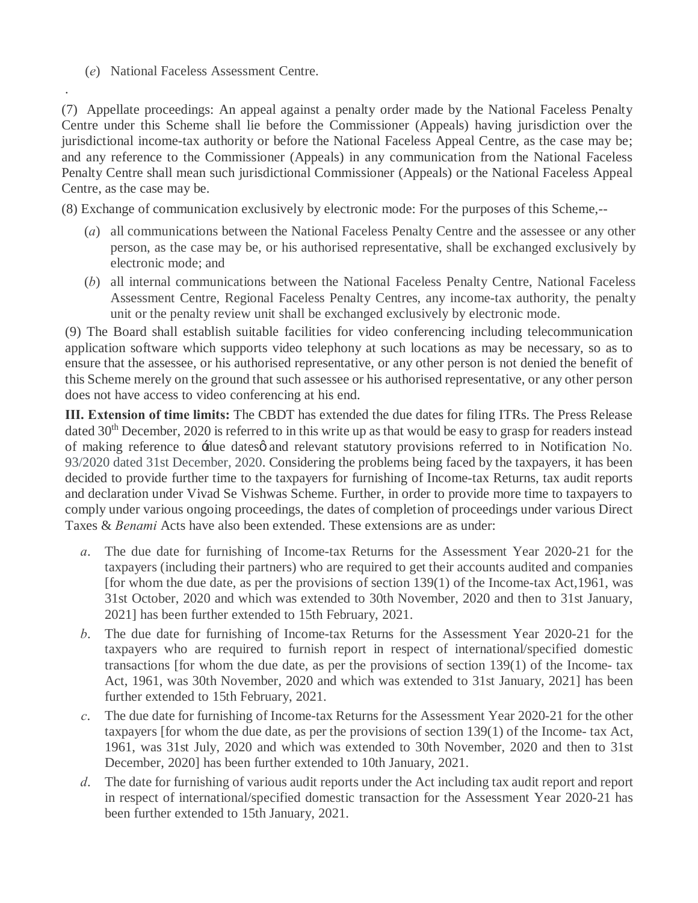(*e*) National Faceless Assessment Centre.

.

(7) Appellate proceedings: An appeal against a penalty order made by the National Faceless Penalty Centre under this Scheme shall lie before the Commissioner (Appeals) having jurisdiction over the jurisdictional income-tax authority or before the National Faceless Appeal Centre, as the case may be; and any reference to the Commissioner (Appeals) in any communication from the National Faceless Penalty Centre shall mean such jurisdictional Commissioner (Appeals) or the National Faceless Appeal Centre, as the case may be.

(8) Exchange of communication exclusively by electronic mode: For the purposes of this Scheme,--

- (*a*) all communications between the National Faceless Penalty Centre and the assessee or any other person, as the case may be, or his authorised representative, shall be exchanged exclusively by electronic mode; and
- (*b*) all internal communications between the National Faceless Penalty Centre, National Faceless Assessment Centre, Regional Faceless Penalty Centres, any income-tax authority, the penalty unit or the penalty review unit shall be exchanged exclusively by electronic mode.

(9) The Board shall establish suitable facilities for video conferencing including telecommunication application software which supports video telephony at such locations as may be necessary, so as to ensure that the assessee, or his authorised representative, or any other person is not denied the benefit of this Scheme merely on the ground that such assessee or his authorised representative, or any other person does not have access to video conferencing at his end.

**III. Extension of time limits:** The CBDT has extended the due dates for filing ITRs. The Press Release dated 30<sup>th</sup> December, 2020 is referred to in this write up as that would be easy to grasp for readers instead of making reference to  $\dot{x}$ due datesø and relevant statutory provisions referred to in Notification No. 93/2020 dated 31st December, 2020. Considering the problems being faced by the taxpayers, it has been decided to provide further time to the taxpayers for furnishing of Income-tax Returns, tax audit reports and declaration under Vivad Se Vishwas Scheme. Further, in order to provide more time to taxpayers to comply under various ongoing proceedings, the dates of completion of proceedings under various Direct Taxes & *Benami* Acts have also been extended. These extensions are as under:

- *a*. The due date for furnishing of Income-tax Returns for the Assessment Year 2020-21 for the taxpayers (including their partners) who are required to get their accounts audited and companies [for whom the due date, as per the provisions of section 139(1) of the Income-tax Act,1961, was 31st October, 2020 and which was extended to 30th November, 2020 and then to 31st January, 2021] has been further extended to 15th February, 2021.
- *b*. The due date for furnishing of Income-tax Returns for the Assessment Year 2020-21 for the taxpayers who are required to furnish report in respect of international/specified domestic transactions [for whom the due date, as per the provisions of section 139(1) of the Income- tax Act, 1961, was 30th November, 2020 and which was extended to 31st January, 2021] has been further extended to 15th February, 2021.
- *c*. The due date for furnishing of Income-tax Returns for the Assessment Year 2020-21 for the other taxpayers [for whom the due date, as per the provisions of section 139(1) of the Income- tax Act, 1961, was 31st July, 2020 and which was extended to 30th November, 2020 and then to 31st December, 2020] has been further extended to 10th January, 2021.
- *d*. The date for furnishing of various audit reports under the Act including tax audit report and report in respect of international/specified domestic transaction for the Assessment Year 2020-21 has been further extended to 15th January, 2021.